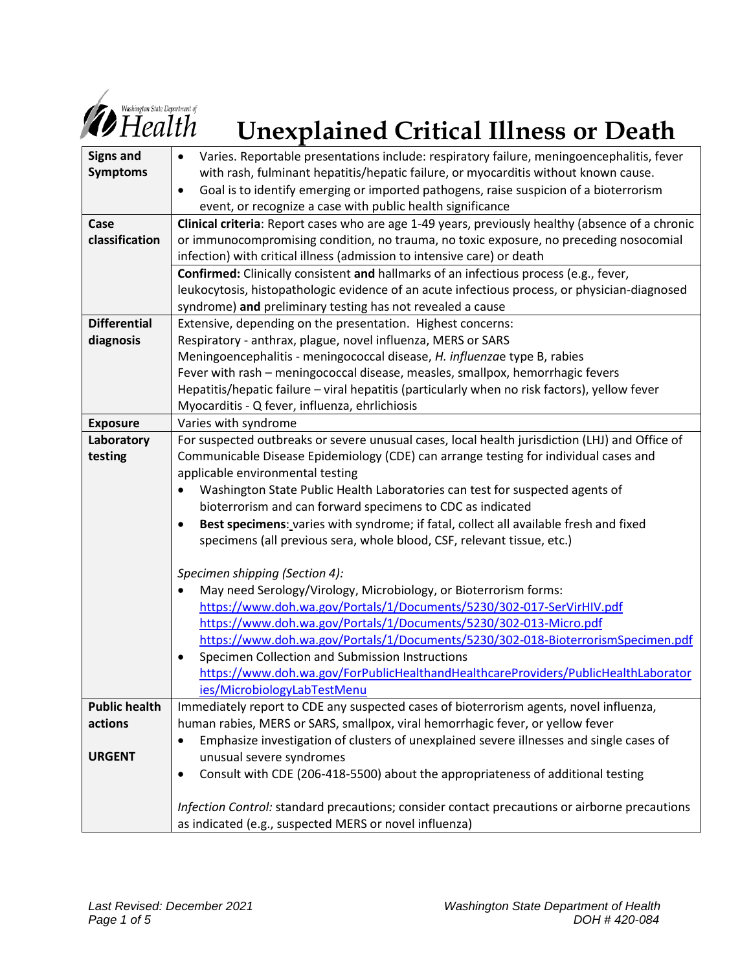

# *Demand Engerment of* Unexplained Critical Illness or Death

| <b>Signs and</b>     | Varies. Reportable presentations include: respiratory failure, meningoencephalitis, fever          |
|----------------------|----------------------------------------------------------------------------------------------------|
| <b>Symptoms</b>      | with rash, fulminant hepatitis/hepatic failure, or myocarditis without known cause.                |
|                      | Goal is to identify emerging or imported pathogens, raise suspicion of a bioterrorism<br>$\bullet$ |
|                      | event, or recognize a case with public health significance                                         |
| Case                 | Clinical criteria: Report cases who are age 1-49 years, previously healthy (absence of a chronic   |
| classification       | or immunocompromising condition, no trauma, no toxic exposure, no preceding nosocomial             |
|                      | infection) with critical illness (admission to intensive care) or death                            |
|                      | Confirmed: Clinically consistent and hallmarks of an infectious process (e.g., fever,              |
|                      | leukocytosis, histopathologic evidence of an acute infectious process, or physician-diagnosed      |
|                      | syndrome) and preliminary testing has not revealed a cause                                         |
| <b>Differential</b>  | Extensive, depending on the presentation. Highest concerns:                                        |
| diagnosis            | Respiratory - anthrax, plague, novel influenza, MERS or SARS                                       |
|                      | Meningoencephalitis - meningococcal disease, H. influenzae type B, rabies                          |
|                      | Fever with rash - meningococcal disease, measles, smallpox, hemorrhagic fevers                     |
|                      | Hepatitis/hepatic failure - viral hepatitis (particularly when no risk factors), yellow fever      |
|                      | Myocarditis - Q fever, influenza, ehrlichiosis                                                     |
| <b>Exposure</b>      | Varies with syndrome                                                                               |
| Laboratory           | For suspected outbreaks or severe unusual cases, local health jurisdiction (LHJ) and Office of     |
| testing              | Communicable Disease Epidemiology (CDE) can arrange testing for individual cases and               |
|                      | applicable environmental testing                                                                   |
|                      | Washington State Public Health Laboratories can test for suspected agents of<br>$\bullet$          |
|                      | bioterrorism and can forward specimens to CDC as indicated                                         |
|                      | Best specimens: varies with syndrome; if fatal, collect all available fresh and fixed<br>$\bullet$ |
|                      | specimens (all previous sera, whole blood, CSF, relevant tissue, etc.)                             |
|                      |                                                                                                    |
|                      | Specimen shipping (Section 4):                                                                     |
|                      | May need Serology/Virology, Microbiology, or Bioterrorism forms:                                   |
|                      | https://www.doh.wa.gov/Portals/1/Documents/5230/302-017-SerVirHIV.pdf                              |
|                      | https://www.doh.wa.gov/Portals/1/Documents/5230/302-013-Micro.pdf                                  |
|                      | https://www.doh.wa.gov/Portals/1/Documents/5230/302-018-BioterrorismSpecimen.pdf                   |
|                      | Specimen Collection and Submission Instructions<br>$\bullet$                                       |
|                      | https://www.doh.wa.gov/ForPublicHealthandHealthcareProviders/PublicHealthLaborator                 |
|                      | ies/MicrobiologyLabTestMenu                                                                        |
| <b>Public health</b> | Immediately report to CDE any suspected cases of bioterrorism agents, novel influenza,             |
| actions              | human rabies, MERS or SARS, smallpox, viral hemorrhagic fever, or yellow fever                     |
|                      | Emphasize investigation of clusters of unexplained severe illnesses and single cases of            |
| <b>URGENT</b>        | unusual severe syndromes                                                                           |
|                      | Consult with CDE (206-418-5500) about the appropriateness of additional testing                    |
|                      |                                                                                                    |
|                      | Infection Control: standard precautions; consider contact precautions or airborne precautions      |
|                      | as indicated (e.g., suspected MERS or novel influenza)                                             |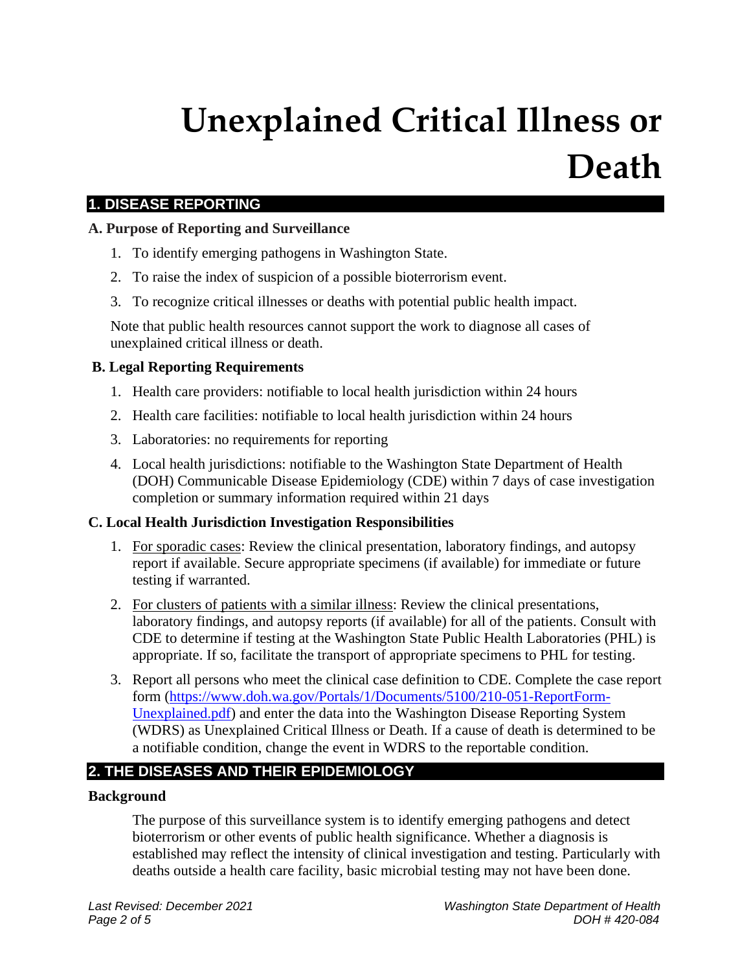## **Unexplained Critical Illness or Death**

### **1. DISEASE REPORTING**

#### **A. Purpose of Reporting and Surveillance**

- 1. To identify emerging pathogens in Washington State.
- 2. To raise the index of suspicion of a possible bioterrorism event.
- 3. To recognize critical illnesses or deaths with potential public health impact.

Note that public health resources cannot support the work to diagnose all cases of unexplained critical illness or death.

#### **B. Legal Reporting Requirements**

- 1. Health care providers: notifiable to local health jurisdiction within 24 hours
- 2. Health care facilities: notifiable to local health jurisdiction within 24 hours
- 3. Laboratories: no requirements for reporting
- 4. Local health jurisdictions: notifiable to the Washington State Department of Health (DOH) Communicable Disease Epidemiology (CDE) within 7 days of case investigation completion or summary information required within 21 days

#### **C. Local Health Jurisdiction Investigation Responsibilities**

- 1. For sporadic cases: Review the clinical presentation, laboratory findings, and autopsy report if available. Secure appropriate specimens (if available) for immediate or future testing if warranted.
- 2. For clusters of patients with a similar illness: Review the clinical presentations, laboratory findings, and autopsy reports (if available) for all of the patients. Consult with CDE to determine if testing at the Washington State Public Health Laboratories (PHL) is appropriate. If so, facilitate the transport of appropriate specimens to PHL for testing.
- 3. Report all persons who meet the clinical case definition to CDE. Complete the case report form [\(https://www.doh.wa.gov/Portals/1/Documents/5100/210-051-ReportForm-](https://www.doh.wa.gov/Portals/1/Documents/5100/210-051-ReportForm-Unexplained.pdf)[Unexplained.pdf\)](https://www.doh.wa.gov/Portals/1/Documents/5100/210-051-ReportForm-Unexplained.pdf) and enter the data into the Washington Disease Reporting System (WDRS) as Unexplained Critical Illness or Death. If a cause of death is determined to be a notifiable condition, change the event in WDRS to the reportable condition.

## **2. THE DISEASES AND THEIR EPIDEMIOLOGY**

#### **Background**

The purpose of this surveillance system is to identify emerging pathogens and detect bioterrorism or other events of public health significance. Whether a diagnosis is established may reflect the intensity of clinical investigation and testing. Particularly with deaths outside a health care facility, basic microbial testing may not have been done.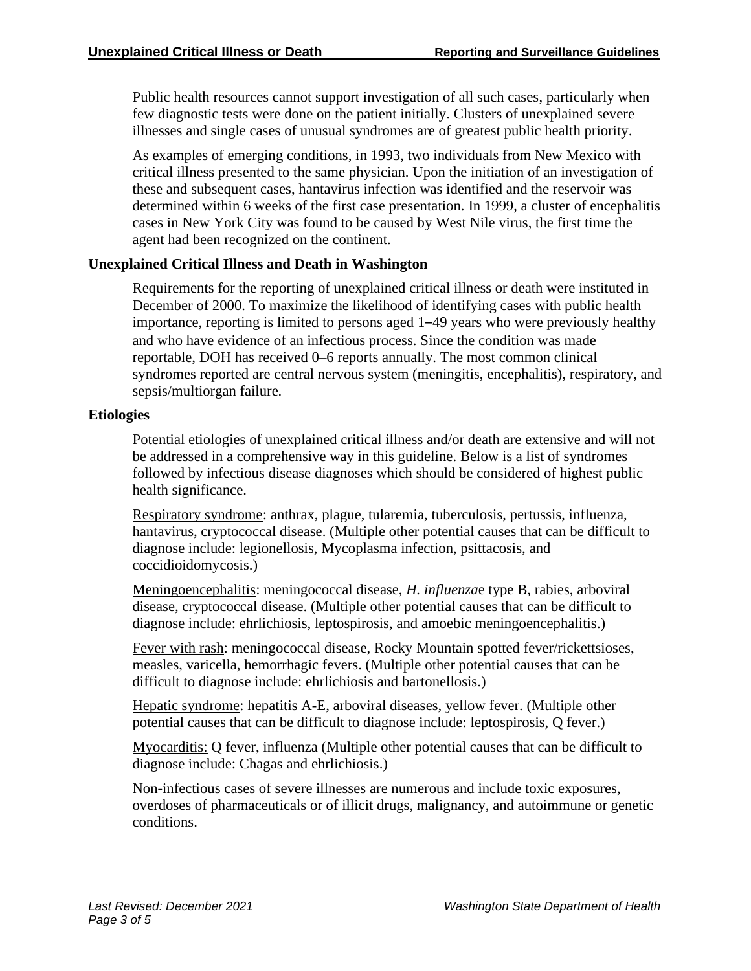Public health resources cannot support investigation of all such cases, particularly when few diagnostic tests were done on the patient initially. Clusters of unexplained severe illnesses and single cases of unusual syndromes are of greatest public health priority.

As examples of emerging conditions, in 1993, two individuals from New Mexico with critical illness presented to the same physician. Upon the initiation of an investigation of these and subsequent cases, hantavirus infection was identified and the reservoir was determined within 6 weeks of the first case presentation. In 1999, a cluster of encephalitis cases in New York City was found to be caused by West Nile virus, the first time the agent had been recognized on the continent.

#### **Unexplained Critical Illness and Death in Washington**

Requirements for the reporting of unexplained critical illness or death were instituted in December of 2000. To maximize the likelihood of identifying cases with public health importance, reporting is limited to persons aged 1–49 years who were previously healthy and who have evidence of an infectious process. Since the condition was made reportable, DOH has received 0–6 reports annually. The most common clinical syndromes reported are central nervous system (meningitis, encephalitis), respiratory, and sepsis/multiorgan failure.

#### **Etiologies**

Potential etiologies of unexplained critical illness and/or death are extensive and will not be addressed in a comprehensive way in this guideline. Below is a list of syndromes followed by infectious disease diagnoses which should be considered of highest public health significance.

Respiratory syndrome: anthrax, plague, tularemia, tuberculosis, pertussis, influenza, hantavirus, cryptococcal disease. (Multiple other potential causes that can be difficult to diagnose include: legionellosis, Mycoplasma infection, psittacosis, and coccidioidomycosis.)

Meningoencephalitis: meningococcal disease, *H. influenza*e type B, rabies, arboviral disease, cryptococcal disease. (Multiple other potential causes that can be difficult to diagnose include: ehrlichiosis, leptospirosis, and amoebic meningoencephalitis.)

Fever with rash: meningococcal disease, Rocky Mountain spotted fever/rickettsioses, measles, varicella, hemorrhagic fevers. (Multiple other potential causes that can be difficult to diagnose include: ehrlichiosis and bartonellosis.)

Hepatic syndrome: hepatitis A-E, arboviral diseases, yellow fever. (Multiple other potential causes that can be difficult to diagnose include: leptospirosis, Q fever.)

Myocarditis: Q fever, influenza (Multiple other potential causes that can be difficult to diagnose include: Chagas and ehrlichiosis.)

Non-infectious cases of severe illnesses are numerous and include toxic exposures, overdoses of pharmaceuticals or of illicit drugs, malignancy, and autoimmune or genetic conditions.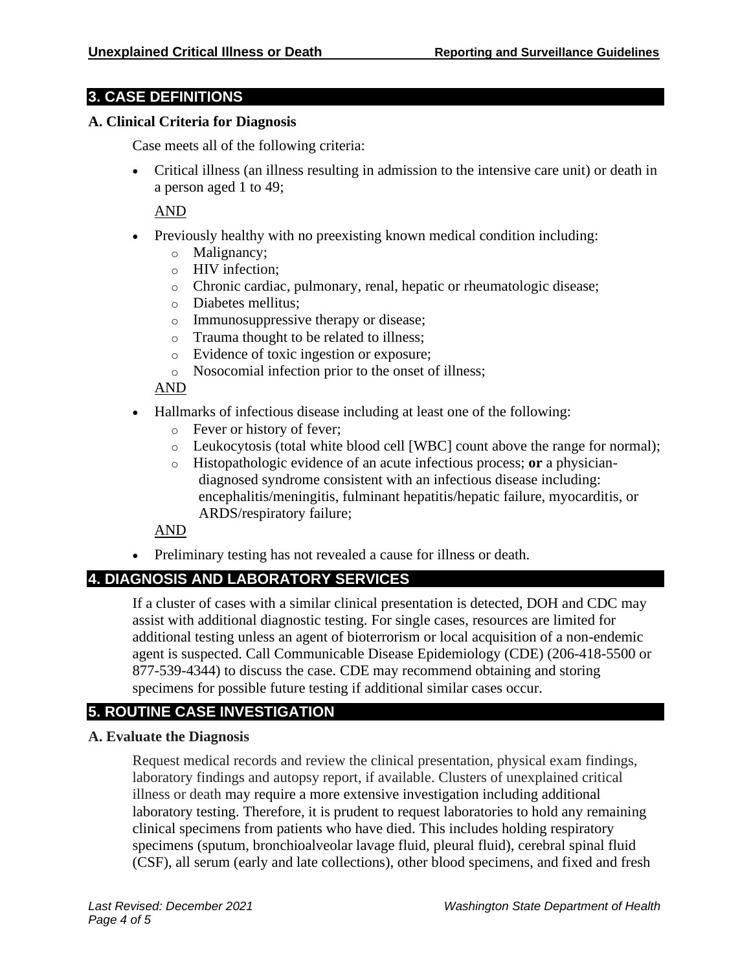#### **3. CASE DEFINITIONS**

#### **A. Clinical Criteria for Diagnosis**

Case meets all of the following criteria:

• Critical illness (an illness resulting in admission to the intensive care unit) or death in a person aged 1 to 49;

AND

- Previously healthy with no preexisting known medical condition including:
	- o Malignancy;
	- o HIV infection;
	- o Chronic cardiac, pulmonary, renal, hepatic or rheumatologic disease;
	- o Diabetes mellitus;
	- o Immunosuppressive therapy or disease;
	- o Trauma thought to be related to illness;
	- o Evidence of toxic ingestion or exposure;
	- o Nosocomial infection prior to the onset of illness;

AND

- Hallmarks of infectious disease including at least one of the following:
	- o Fever or history of fever;
	- o Leukocytosis (total white blood cell [WBC] count above the range for normal);
	- o Histopathologic evidence of an acute infectious process; **or** a physiciandiagnosed syndrome consistent with an infectious disease including: encephalitis/meningitis, fulminant hepatitis/hepatic failure, myocarditis, or ARDS/respiratory failure;

AND

• Preliminary testing has not revealed a cause for illness or death.

## **4. DIAGNOSIS AND LABORATORY SERVICES**

If a cluster of cases with a similar clinical presentation is detected, DOH and CDC may assist with additional diagnostic testing. For single cases, resources are limited for additional testing unless an agent of bioterrorism or local acquisition of a non-endemic agent is suspected. Call Communicable Disease Epidemiology (CDE) (206-418-5500 or 877-539-4344) to discuss the case. CDE may recommend obtaining and storing specimens for possible future testing if additional similar cases occur.

## **5. ROUTINE CASE INVESTIGATION**

#### **A. Evaluate the Diagnosis**

Request medical records and review the clinical presentation, physical exam findings, laboratory findings and autopsy report, if available. Clusters of unexplained critical illness or death may require a more extensive investigation including additional laboratory testing. Therefore, it is prudent to request laboratories to hold any remaining clinical specimens from patients who have died. This includes holding respiratory specimens (sputum, bronchioalveolar lavage fluid, pleural fluid), cerebral spinal fluid (CSF), all serum (early and late collections), other blood specimens, and fixed and fresh